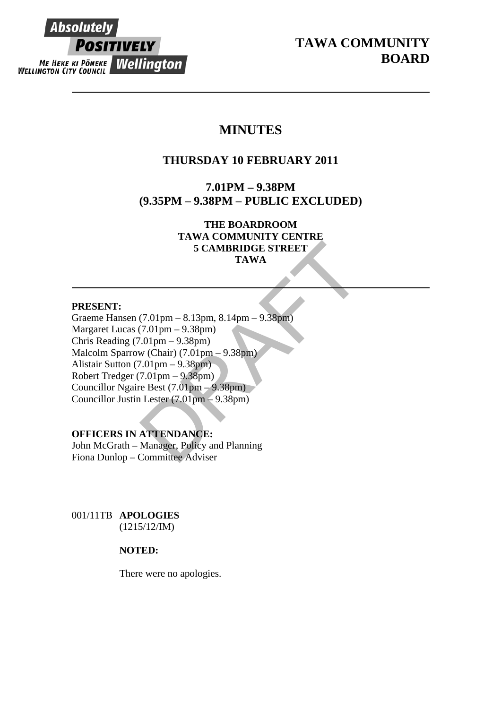# Absolutel **POSITIVELY ME HEKE KI PONEKE Wellington**

**TAWA COMMUNITY BOARD** 

# **MINUTES**

# **THURSDAY 10 FEBRUARY 2011**

**7.01PM – 9.38PM (9.35PM – 9.38PM – PUBLIC EXCLUDED)** 

> **THE BOARDROOM TAWA COMMUNITY CENTRE 5 CAMBRIDGE STREET TAWA**

# **PRESENT:**

5 CAMBRIDGE STREET<br>
TAWA<br>
(7.01pm – 8.13pm, 8.14pm – 9.38pm)<br>
(7.01pm – 9.38pm)<br>
(01pm – 9.38pm)<br>
w (Chair) (7.01pm – 9.38pm)<br>
7.01pm – 9.38pm)<br>
re Best (7.01pm – 9.38pm)<br>
re Best (7.01pm – 9.38pm)<br>
Lester (7.01pm – 9.38pm Graeme Hansen (7.01pm – 8.13pm, 8.14pm – 9.38pm) Margaret Lucas (7.01pm – 9.38pm) Chris Reading (7.01pm – 9.38pm) Malcolm Sparrow (Chair) (7.01pm – 9.38pm) Alistair Sutton (7.01pm – 9.38pm) Robert Tredger (7.01pm – 9.38pm) Councillor Ngaire Best (7.01pm – 9.38pm) Councillor Justin Lester (7.01pm – 9.38pm)

# **OFFICERS IN ATTENDANCE:**

John McGrath – Manager, Policy and Planning Fiona Dunlop – Committee Adviser

001/11TB **APOLOGIES** (1215/12/IM)

# **NOTED:**

There were no apologies.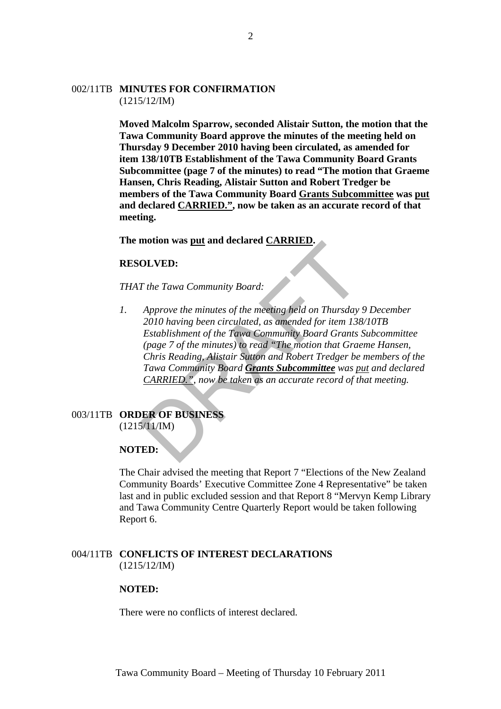#### 002/11TB **MINUTES FOR CONFIRMATION** (1215/12/IM)

**Moved Malcolm Sparrow, seconded Alistair Sutton, the motion that the Tawa Community Board approve the minutes of the meeting held on Thursday 9 December 2010 having been circulated, as amended for item 138/10TB Establishment of the Tawa Community Board Grants Subcommittee (page 7 of the minutes) to read "The motion that Graeme Hansen, Chris Reading, Alistair Sutton and Robert Tredger be members of the Tawa Community Board Grants Subcommittee was put and declared CARRIED.", now be taken as an accurate record of that meeting.** 

### **The motion was put and declared CARRIED.**

#### **RESOLVED:**

*THAT the Tawa Community Board:* 

**OLVED:**<br>
T the Tawa Community Board:<br>
Approve the minutes of the meeting held on Thursday<br>
2010 having been circulated, as amended for item 138<br>
Establishment of the Tava Community Board Grants :<br>
(page 7 of the minutes) *1. Approve the minutes of the meeting held on Thursday 9 December 2010 having been circulated, as amended for item 138/10TB Establishment of the Tawa Community Board Grants Subcommittee (page 7 of the minutes) to read "The motion that Graeme Hansen, Chris Reading, Alistair Sutton and Robert Tredger be members of the Tawa Community Board Grants Subcommittee was put and declared CARRIED.", now be taken as an accurate record of that meeting.* 

# 003/11TB **ORDER OF BUSINESS**

 $(1215/11/IM)$ 

#### **NOTED:**

The Chair advised the meeting that Report 7 "Elections of the New Zealand Community Boards' Executive Committee Zone 4 Representative" be taken last and in public excluded session and that Report 8 "Mervyn Kemp Library and Tawa Community Centre Quarterly Report would be taken following Report 6.

### 004/11TB **CONFLICTS OF INTEREST DECLARATIONS** (1215/12/IM)

#### **NOTED:**

There were no conflicts of interest declared.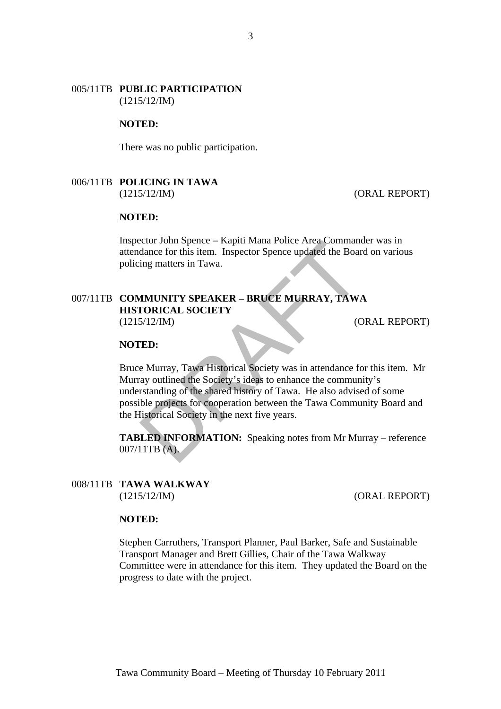#### 005/11TB **PUBLIC PARTICIPATION** (1215/12/IM)

#### **NOTED:**

There was no public participation.

#### 006/11TB **POLICING IN TAWA** (1215/12/IM) (ORAL REPORT)

# **NOTED:**

Inspector John Spence – Kapiti Mana Police Area Commander was in attendance for this item. Inspector Spence updated the Board on various policing matters in Tawa.

# 007/11TB **COMMUNITY SPEAKER – BRUCE MURRAY, TAWA HISTORICAL SOCIETY** (1215/12/IM) (ORAL REPORT)

#### **NOTED:**

Example 19 The Transformal Police Area Command<br>dance for this item. Inspector Spence updated the Boar<br>ing matters in Tawa.<br>
MUNITY SPEAKER – BRUCE MURRAY, TAWA<br>
TORICAL SOCIETY<br>
(C<br>
TED:<br>
ED:<br>
EMURITY, Tawa Historical Soci Bruce Murray, Tawa Historical Society was in attendance for this item. Mr Murray outlined the Society's ideas to enhance the community's understanding of the shared history of Tawa. He also advised of some possible projects for cooperation between the Tawa Community Board and the Historical Society in the next five years.

**TABLED INFORMATION:** Speaking notes from Mr Murray – reference 007/11TB (A).

#### 008/11TB **TAWA WALKWAY** (1215/12/IM) (ORAL REPORT)

#### **NOTED:**

Stephen Carruthers, Transport Planner, Paul Barker, Safe and Sustainable Transport Manager and Brett Gillies, Chair of the Tawa Walkway Committee were in attendance for this item. They updated the Board on the progress to date with the project.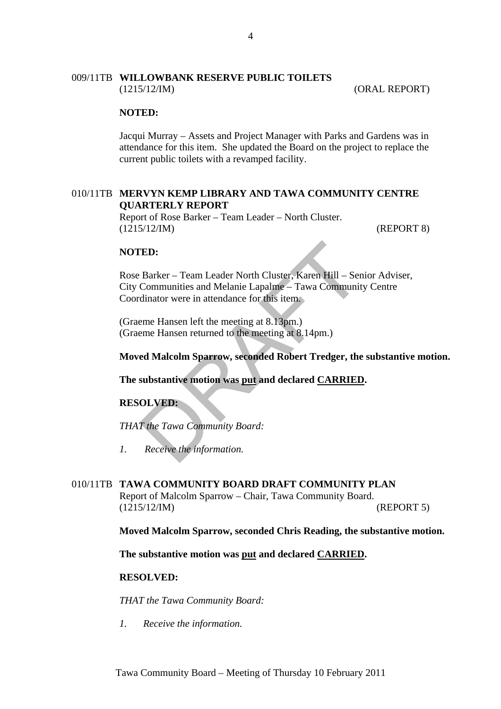### 009/11TB **WILLOWBANK RESERVE PUBLIC TOILETS** (1215/12/IM) (ORAL REPORT)

#### **NOTED:**

Jacqui Murray – Assets and Project Manager with Parks and Gardens was in attendance for this item. She updated the Board on the project to replace the current public toilets with a revamped facility.

# 010/11TB **MERVYN KEMP LIBRARY AND TAWA COMMUNITY CENTRE QUARTERLY REPORT**

Report of Rose Barker – Team Leader – North Cluster. (1215/12/IM) (REPORT 8)

#### **NOTED:**

**ED:**<br>
Barker – Team Leader North Cluster, Karen Hill – Ser<br>
Communities and Melanie Lapalme – Tawa Communit<br>
dinator were in attendance for this item.<br>
eme Hansen left the meeting at 8.13pm.)<br>
eme Hansen returned to the m Rose Barker – Team Leader North Cluster, Karen Hill – Senior Adviser, City Communities and Melanie Lapalme – Tawa Community Centre Coordinator were in attendance for this item.

(Graeme Hansen left the meeting at 8.13pm.) (Graeme Hansen returned to the meeting at 8.14pm.)

**Moved Malcolm Sparrow, seconded Robert Tredger, the substantive motion.** 

#### **The substantive motion was put and declared CARRIED.**

#### **RESOLVED:**

*THAT the Tawa Community Board:*

*1. Receive the information.* 

#### 010/11TB **TAWA COMMUNITY BOARD DRAFT COMMUNITY PLAN**

Report of Malcolm Sparrow – Chair, Tawa Community Board. (1215/12/IM) (REPORT 5)

**Moved Malcolm Sparrow, seconded Chris Reading, the substantive motion.** 

**The substantive motion was put and declared CARRIED.** 

# **RESOLVED:**

*THAT the Tawa Community Board:* 

*1. Receive the information.*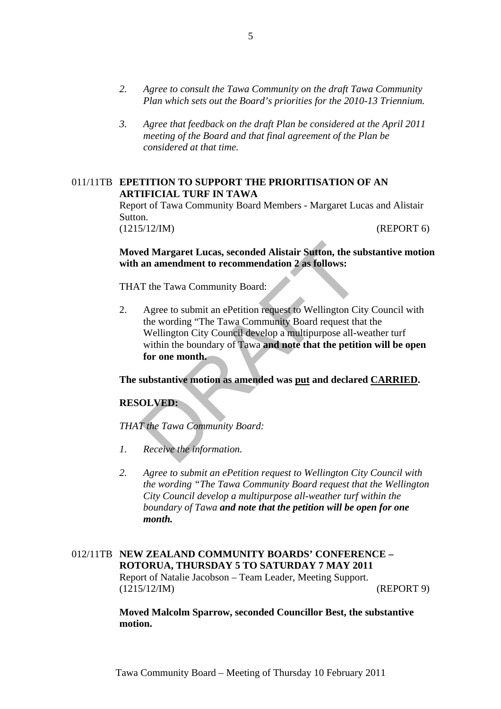- *2. Agree to consult the Tawa Community on the draft Tawa Community Plan which sets out the Board's priorities for the 2010-13 Triennium.*
- *3. Agree that feedback on the draft Plan be considered at the April 2011 meeting of the Board and that final agreement of the Plan be considered at that time.*

### 011/11TB **EPETITION TO SUPPORT THE PRIORITISATION OF AN ARTIFICIAL TURF IN TAWA**

Report of Tawa Community Board Members - Margaret Lucas and Alistair Sutton. (1215/12/IM) (REPORT 6)

**Moved Margaret Lucas, seconded Alistair Sutton, the substantive motion with an amendment to recommendation 2 as follows:** 

THAT the Tawa Community Board:

**Example 16 Margaret Lucas, seconded Alistair Sutton, the su<br>
an amendment to recommendation 2 as follows:**<br>
T the Tawa Community Board:<br>
Agree to submit an ePetition request to Wellington Cit<br>
the wording "The Tawa Commun 2. Agree to submit an ePetition request to Wellington City Council with the wording "The Tawa Community Board request that the Wellington City Council develop a multipurpose all-weather turf within the boundary of Tawa **and note that the petition will be open for one month.**

**The substantive motion as amended was put and declared CARRIED.** 

#### **RESOLVED:**

*THAT the Tawa Community Board:* 

- *1. Receive the information.*
- *2. Agree to submit an ePetition request to Wellington City Council with the wording "The Tawa Community Board request that the Wellington City Council develop a multipurpose all-weather turf within the boundary of Tawa and note that the petition will be open for one month.*

# 012/11TB **NEW ZEALAND COMMUNITY BOARDS' CONFERENCE – ROTORUA, THURSDAY 5 TO SATURDAY 7 MAY 2011** Report of Natalie Jacobson – Team Leader, Meeting Support. (1215/12/IM) (REPORT 9)

**Moved Malcolm Sparrow, seconded Councillor Best, the substantive motion.**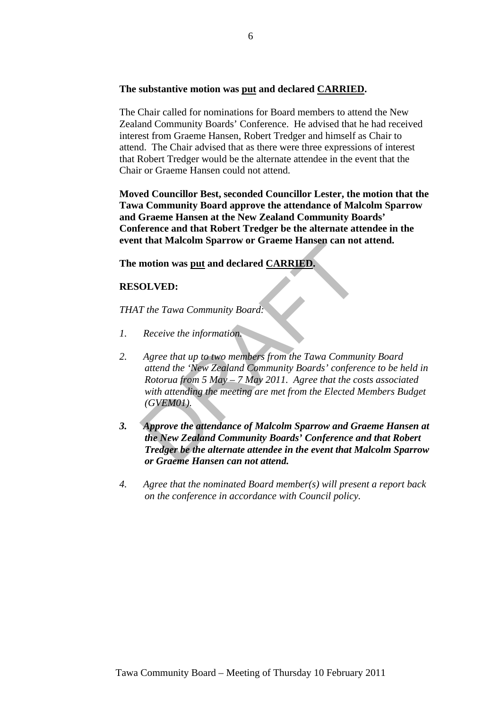# **The substantive motion was put and declared CARRIED.**

The Chair called for nominations for Board members to attend the New Zealand Community Boards' Conference. He advised that he had received interest from Graeme Hansen, Robert Tredger and himself as Chair to attend. The Chair advised that as there were three expressions of interest that Robert Tredger would be the alternate attendee in the event that the Chair or Graeme Hansen could not attend.

**Moved Councillor Best, seconded Councillor Lester, the motion that the Tawa Community Board approve the attendance of Malcolm Sparrow and Graeme Hansen at the New Zealand Community Boards' Conference and that Robert Tredger be the alternate attendee in the event that Malcolm Sparrow or Graeme Hansen can not attend.** 

**The motion was put and declared CARRIED.** 

# **RESOLVED:**

*THAT the Tawa Community Board:* 

- *1. Receive the information.*
- That Malcolm Sparrow or Graeme Hansen can not<br>
motion was <u>put</u> and declared CARRIED.<br>
The Tawa Community Board:<br>
Receive the information.<br>
Agree that up to two members from the Tawa Communited the 'New Zealand Community B *2. Agree that up to two members from the Tawa Community Board attend the 'New Zealand Community Boards' conference to be held in Rotorua from 5 May – 7 May 2011. Agree that the costs associated with attending the meeting are met from the Elected Members Budget (GVEM01).*
- *3. Approve the attendance of Malcolm Sparrow and Graeme Hansen at the New Zealand Community Boards' Conference and that Robert Tredger be the alternate attendee in the event that Malcolm Sparrow or Graeme Hansen can not attend.*
- *4. Agree that the nominated Board member(s) will present a report back on the conference in accordance with Council policy.*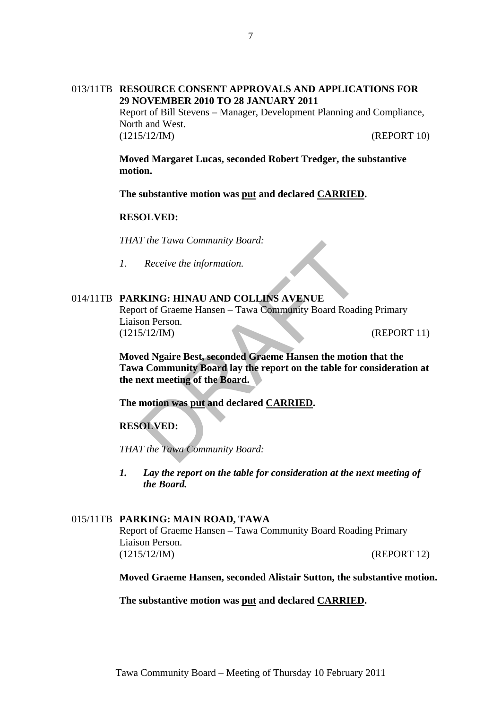# 013/11TB **RESOURCE CONSENT APPROVALS AND APPLICATIONS FOR 29 NOVEMBER 2010 TO 28 JANUARY 2011** Report of Bill Stevens – Manager, Development Planning and Compliance, North and West.

(1215/12/IM) (REPORT 10)

**Moved Margaret Lucas, seconded Robert Tredger, the substantive motion.** 

**The substantive motion was put and declared CARRIED.** 

# **RESOLVED:**

*THAT the Tawa Community Board:* 

*1. Receive the information.* 

# 014/11TB **PARKING: HINAU AND COLLINS AVENUE**

Report of Graeme Hansen – Tawa Community Board Roading Primary Liaison Person. (1215/12/IM) (REPORT 11)

The Tawa Community Board:<br>
Receive the information.<br>
KING: HINAU AND COLLINS AVENUE<br>
on Person.<br>
S/12/IM)<br>
ed Ngaire Best, seconded Graeme Hansen the motio<br>
a Community Board lay the report on the table for c<br>
ext meeting **Moved Ngaire Best, seconded Graeme Hansen the motion that the Tawa Community Board lay the report on the table for consideration at the next meeting of the Board.** 

**The motion was put and declared CARRIED.** 

**RESOLVED:**

*THAT the Tawa Community Board:* 

*1. Lay the report on the table for consideration at the next meeting of the Board.*

#### 015/11TB **PARKING: MAIN ROAD, TAWA**

Report of Graeme Hansen – Tawa Community Board Roading Primary Liaison Person. (1215/12/IM) (REPORT 12)

**Moved Graeme Hansen, seconded Alistair Sutton, the substantive motion.** 

**The substantive motion was put and declared CARRIED.**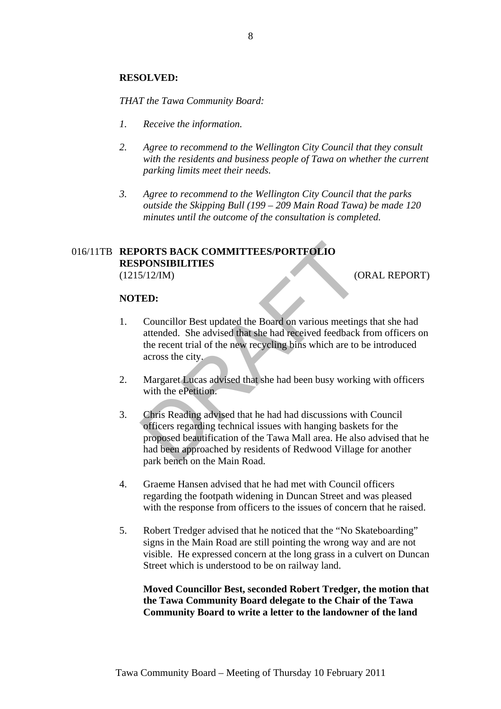### **RESOLVED:**

*THAT the Tawa Community Board:* 

- *1. Receive the information.*
- *2. Agree to recommend to the Wellington City Council that they consult with the residents and business people of Tawa on whether the current parking limits meet their needs.*
- *3. Agree to recommend to the Wellington City Council that the parks outside the Skipping Bull (199 – 209 Main Road Tawa) be made 120 minutes until the outcome of the consultation is completed.*

# 016/11TB **REPORTS BACK COMMITTEES/PORTFOLIO RESPONSIBILITIES** (1215/12/IM) (ORAL REPORT)

#### **NOTED:**

- 1. Councillor Best updated the Board on various meetings that she had attended. She advised that she had received feedback from officers on the recent trial of the new recycling bins which are to be introduced across the city.
- 2. Margaret Lucas advised that she had been busy working with officers with the ePetition.
- **ORTS BACK COMMITTEES/PORTFOLIO**<br> **PONSIBILITIES**<br>
COUNCILITIES<br>
COUNCILITIES<br>
COUNCILITIES<br>
COUNCILITIES<br>
COUNCILITIES<br>
COUNCILITIES<br>
2015<br>
COUNCILITIES<br>
2016<br>
THE EXECT AND THE POST OF THE READ AND NOT ARE ASSEMBLY ON TH 3. Chris Reading advised that he had had discussions with Council officers regarding technical issues with hanging baskets for the proposed beautification of the Tawa Mall area. He also advised that he had been approached by residents of Redwood Village for another park bench on the Main Road.
- 4. Graeme Hansen advised that he had met with Council officers regarding the footpath widening in Duncan Street and was pleased with the response from officers to the issues of concern that he raised.
- 5. Robert Tredger advised that he noticed that the "No Skateboarding" signs in the Main Road are still pointing the wrong way and are not visible. He expressed concern at the long grass in a culvert on Duncan Street which is understood to be on railway land.

**Moved Councillor Best, seconded Robert Tredger, the motion that the Tawa Community Board delegate to the Chair of the Tawa Community Board to write a letter to the landowner of the land**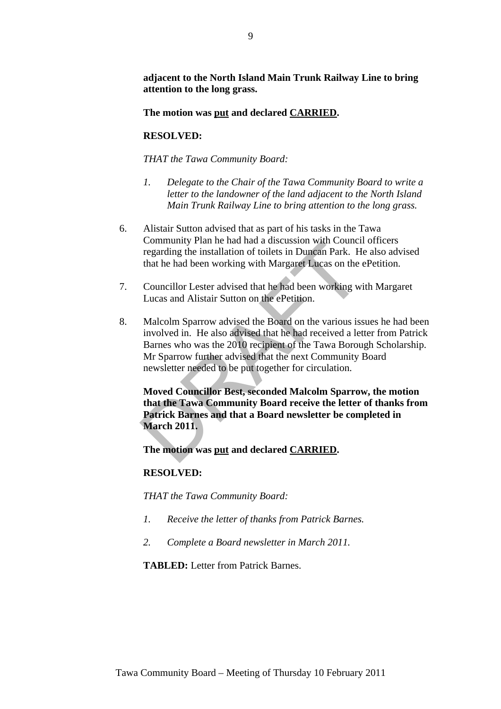**adjacent to the North Island Main Trunk Railway Line to bring attention to the long grass.** 

**The motion was put and declared CARRIED.** 

# **RESOLVED:**

*THAT the Tawa Community Board:* 

- *1. Delegate to the Chair of the Tawa Community Board to write a letter to the landowner of the land adjacent to the North Island Main Trunk Railway Line to bring attention to the long grass.*
- 6. Alistair Sutton advised that as part of his tasks in the Tawa Community Plan he had had a discussion with Council officers regarding the installation of toilets in Duncan Park. He also advised that he had been working with Margaret Lucas on the ePetition.
- 7. Councillor Lester advised that he had been working with Margaret Lucas and Alistair Sutton on the ePetition.
- Community Pian ne had nat a discussion with Councincurg<br>regarding the installation of toilets in Duncan Park. H<br>that he had been working with Margaret Lucas on the<br>Councillor Lester advised that he had been working w<br>Lucas 8. Malcolm Sparrow advised the Board on the various issues he had been involved in. He also advised that he had received a letter from Patrick Barnes who was the 2010 recipient of the Tawa Borough Scholarship. Mr Sparrow further advised that the next Community Board newsletter needed to be put together for circulation.

**Moved Councillor Best, seconded Malcolm Sparrow, the motion that the Tawa Community Board receive the letter of thanks from Patrick Barnes and that a Board newsletter be completed in March 2011.** 

**The motion was put and declared CARRIED.** 

# **RESOLVED:**

*THAT the Tawa Community Board:* 

- *1. Receive the letter of thanks from Patrick Barnes.*
- *2. Complete a Board newsletter in March 2011.*

**TABLED:** Letter from Patrick Barnes.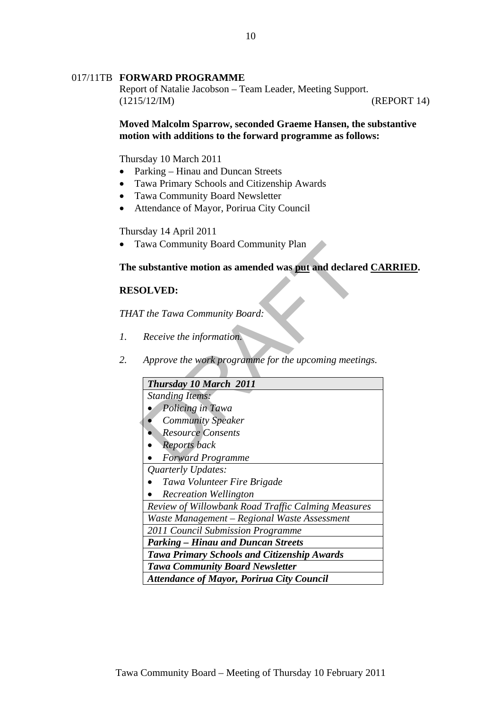### 017/11TB **FORWARD PROGRAMME**

Report of Natalie Jacobson – Team Leader, Meeting Support. (1215/12/IM) (REPORT 14)

# **Moved Malcolm Sparrow, seconded Graeme Hansen, the substantive motion with additions to the forward programme as follows:**

Thursday 10 March 2011

- Parking Hinau and Duncan Streets
- Tawa Primary Schools and Citizenship Awards
- Tawa Community Board Newsletter
- Attendance of Mayor, Porirua City Council

Thursday 14 April 2011

Tawa Community Board Community Plan

#### **The substantive motion as amended was put and declared CARRIED.**

# **RESOLVED:**

*THAT the Tawa Community Board:* 

- *1. Receive the information.*
- *2. Approve the work programme for the upcoming meetings.*

| 'awa Community Board Community Plan                                 |
|---------------------------------------------------------------------|
| substantive motion as amended was <u>put</u> and declared <u>CA</u> |
| <b>OLVED:</b>                                                       |
| T the Tawa Community Board:                                         |
| Receive the information.                                            |
| Approve the work programme for the upcoming meetings.               |
| Thursday 10 March 2011                                              |
| <b>Standing Items:</b>                                              |
| Policing in Tawa                                                    |
| <b>Community Speaker</b>                                            |
| <b>Resource Consents</b>                                            |
| Reports back                                                        |
| <b>Forward Programme</b>                                            |
| Quarterly Updates:                                                  |
| Tawa Volunteer Fire Brigade                                         |
| <b>Recreation Wellington</b>                                        |
| Review of Willowbank Road Traffic Calming Measures                  |
| Waste Management - Regional Waste Assessment                        |
| 2011 Council Submission Programme                                   |
| <b>Parking – Hinau and Duncan Streets</b>                           |
| <b>Tawa Primary Schools and Citizenship Awards</b>                  |
| <b>Tawa Community Board Newsletter</b>                              |
| <b>Attendance of Mayor, Porirua City Council</b>                    |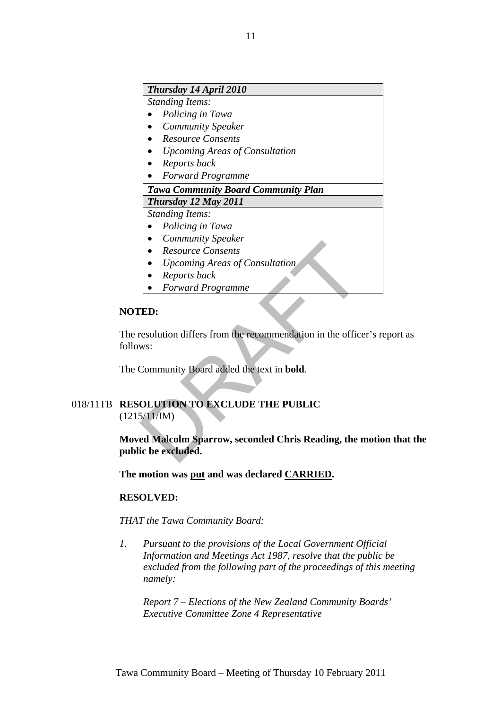# *Thursday 14 April 2010*

*Standing Items:* 

- *Policing in Tawa*
- *Community Speaker*
- *Resource Consents*
- *Upcoming Areas of Consultation*
- *Reports back*
- *Forward Programme*

# *Tawa Community Board Community Plan*

*Thursday 12 May 2011 Standing Items:* 

- *Policing in Tawa*
- *Community Speaker*
- *Resource Consents*
- *Upcoming Areas of Consultation*
- *Reports back*
- *Forward Programme*

# **NOTED:**

• Resource Consents<br>
• Resource Consents<br>
• Upcoming Areas of Consultation<br>
• Reports back<br>
• Forward Programme<br> **ED:**<br>
• ED:<br>
• ESS Consultation<br>
• ED:<br>
• ESS Consents Areas Programme<br>
• ED:<br>
• Consented Programme<br>
• ECON The resolution differs from the recommendation in the officer's report as follows:

The Community Board added the text in **bold**.

# 018/11TB **RESOLUTION TO EXCLUDE THE PUBLIC**  $(1215/11/\text{IM})$

**Moved Malcolm Sparrow, seconded Chris Reading, the motion that the public be excluded.** 

**The motion was put and was declared CARRIED.** 

# **RESOLVED:**

*THAT the Tawa Community Board:* 

*1. Pursuant to the provisions of the Local Government Official Information and Meetings Act 1987, resolve that the public be excluded from the following part of the proceedings of this meeting namely:* 

*Report 7 – Elections of the New Zealand Community Boards' Executive Committee Zone 4 Representative*